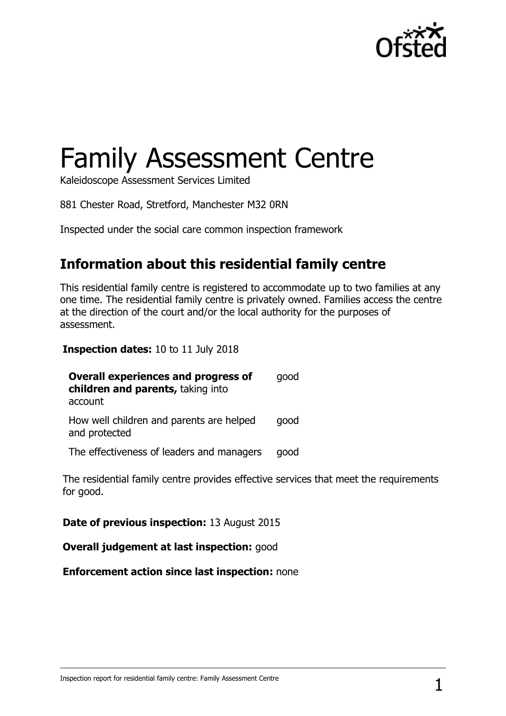

# Family Assessment Centre

Kaleidoscope Assessment Services Limited

881 Chester Road, Stretford, Manchester M32 0RN

Inspected under the social care common inspection framework

## **Information about this residential family centre**

This residential family centre is registered to accommodate up to two families at any one time. The residential family centre is privately owned. Families access the centre at the direction of the court and/or the local authority for the purposes of assessment.

**Inspection dates:** 10 to 11 July 2018

| <b>Overall experiences and progress of</b><br>children and parents, taking into<br>account | good |
|--------------------------------------------------------------------------------------------|------|
| How well children and parents are helped<br>and protected                                  | good |
| The effectiveness of leaders and managers                                                  | good |

The residential family centre provides effective services that meet the requirements for good.

**Date of previous inspection:** 13 August 2015

**Overall judgement at last inspection:** good

**Enforcement action since last inspection:** none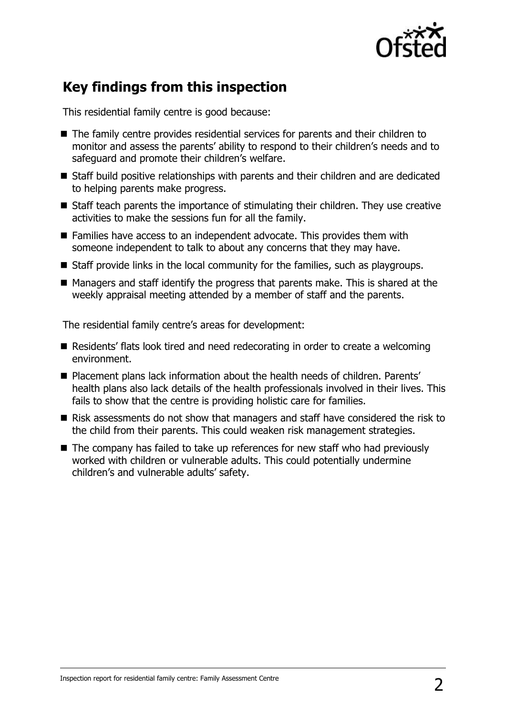

## **Key findings from this inspection**

This residential family centre is good because:

- The family centre provides residential services for parents and their children to monitor and assess the parents' ability to respond to their children's needs and to safeguard and promote their children's welfare.
- Staff build positive relationships with parents and their children and are dedicated to helping parents make progress.
- Staff teach parents the importance of stimulating their children. They use creative activities to make the sessions fun for all the family.
- Families have access to an independent advocate. This provides them with someone independent to talk to about any concerns that they may have.
- $\blacksquare$  Staff provide links in the local community for the families, such as playgroups.
- $\blacksquare$  Managers and staff identify the progress that parents make. This is shared at the weekly appraisal meeting attended by a member of staff and the parents.

The residential family centre's areas for development:

- Residents' flats look tired and need redecorating in order to create a welcoming environment.
- Placement plans lack information about the health needs of children. Parents' health plans also lack details of the health professionals involved in their lives. This fails to show that the centre is providing holistic care for families.
- Risk assessments do not show that managers and staff have considered the risk to the child from their parents. This could weaken risk management strategies.
- The company has failed to take up references for new staff who had previously worked with children or vulnerable adults. This could potentially undermine children's and vulnerable adults' safety.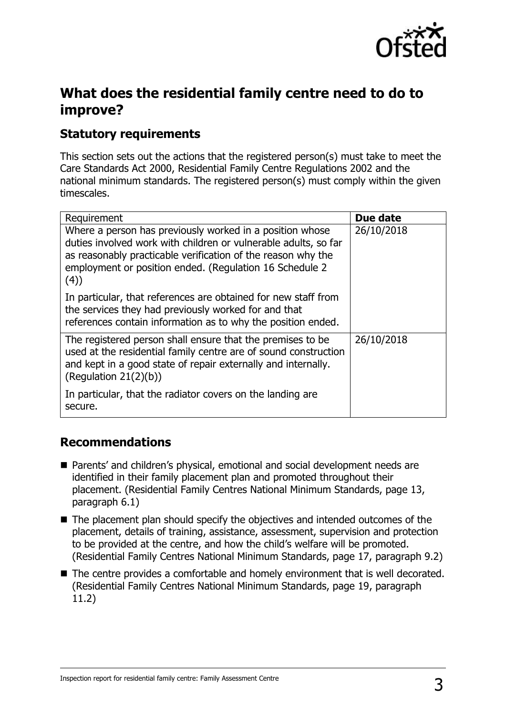

## **What does the residential family centre need to do to improve?**

## **Statutory requirements**

This section sets out the actions that the registered person(s) must take to meet the Care Standards Act 2000, Residential Family Centre Regulations 2002 and the national minimum standards. The registered person(s) must comply within the given timescales.

| Requirement                                                                                                                                                                                                                                                   | Due date   |
|---------------------------------------------------------------------------------------------------------------------------------------------------------------------------------------------------------------------------------------------------------------|------------|
| Where a person has previously worked in a position whose<br>duties involved work with children or vulnerable adults, so far<br>as reasonably practicable verification of the reason why the<br>employment or position ended. (Regulation 16 Schedule 2<br>(4) | 26/10/2018 |
| In particular, that references are obtained for new staff from<br>the services they had previously worked for and that<br>references contain information as to why the position ended.                                                                        |            |
| The registered person shall ensure that the premises to be<br>used at the residential family centre are of sound construction<br>and kept in a good state of repair externally and internally.<br>(Regulation $21(2)(b)$ )                                    | 26/10/2018 |
| In particular, that the radiator covers on the landing are<br>secure.                                                                                                                                                                                         |            |

### **Recommendations**

- Parents' and children's physical, emotional and social development needs are identified in their family placement plan and promoted throughout their placement. (Residential Family Centres National Minimum Standards, page 13, paragraph 6.1)
- The placement plan should specify the objectives and intended outcomes of the placement, details of training, assistance, assessment, supervision and protection to be provided at the centre, and how the child's welfare will be promoted. (Residential Family Centres National Minimum Standards, page 17, paragraph 9.2)
- The centre provides a comfortable and homely environment that is well decorated. (Residential Family Centres National Minimum Standards, page 19, paragraph 11.2)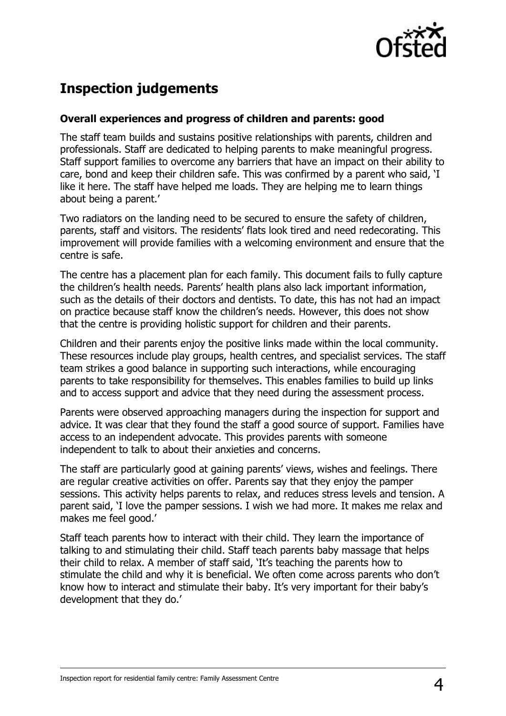

# **Inspection judgements**

#### **Overall experiences and progress of children and parents: good**

The staff team builds and sustains positive relationships with parents, children and professionals. Staff are dedicated to helping parents to make meaningful progress. Staff support families to overcome any barriers that have an impact on their ability to care, bond and keep their children safe. This was confirmed by a parent who said, 'I like it here. The staff have helped me loads. They are helping me to learn things about being a parent.'

Two radiators on the landing need to be secured to ensure the safety of children, parents, staff and visitors. The residents' flats look tired and need redecorating. This improvement will provide families with a welcoming environment and ensure that the centre is safe.

The centre has a placement plan for each family. This document fails to fully capture the children's health needs. Parents' health plans also lack important information, such as the details of their doctors and dentists. To date, this has not had an impact on practice because staff know the children's needs. However, this does not show that the centre is providing holistic support for children and their parents.

Children and their parents enjoy the positive links made within the local community. These resources include play groups, health centres, and specialist services. The staff team strikes a good balance in supporting such interactions, while encouraging parents to take responsibility for themselves. This enables families to build up links and to access support and advice that they need during the assessment process.

Parents were observed approaching managers during the inspection for support and advice. It was clear that they found the staff a good source of support. Families have access to an independent advocate. This provides parents with someone independent to talk to about their anxieties and concerns.

The staff are particularly good at gaining parents' views, wishes and feelings. There are regular creative activities on offer. Parents say that they enjoy the pamper sessions. This activity helps parents to relax, and reduces stress levels and tension. A parent said, 'I love the pamper sessions. I wish we had more. It makes me relax and makes me feel good.'

Staff teach parents how to interact with their child. They learn the importance of talking to and stimulating their child. Staff teach parents baby massage that helps their child to relax. A member of staff said, 'It's teaching the parents how to stimulate the child and why it is beneficial. We often come across parents who don't know how to interact and stimulate their baby. It's very important for their baby's development that they do.'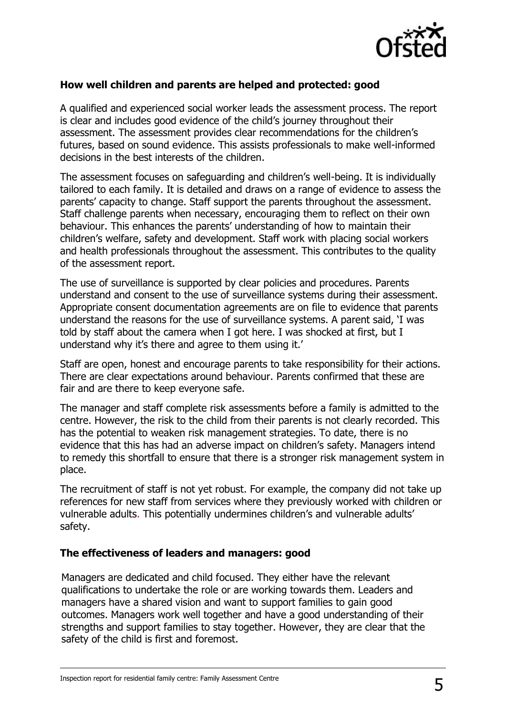

#### **How well children and parents are helped and protected: good**

A qualified and experienced social worker leads the assessment process. The report is clear and includes good evidence of the child's journey throughout their assessment. The assessment provides clear recommendations for the children's futures, based on sound evidence. This assists professionals to make well-informed decisions in the best interests of the children.

The assessment focuses on safeguarding and children's well-being. It is individually tailored to each family. It is detailed and draws on a range of evidence to assess the parents' capacity to change. Staff support the parents throughout the assessment. Staff challenge parents when necessary, encouraging them to reflect on their own behaviour. This enhances the parents' understanding of how to maintain their children's welfare, safety and development. Staff work with placing social workers and health professionals throughout the assessment. This contributes to the quality of the assessment report.

The use of surveillance is supported by clear policies and procedures. Parents understand and consent to the use of surveillance systems during their assessment. Appropriate consent documentation agreements are on file to evidence that parents understand the reasons for the use of surveillance systems. A parent said, 'I was told by staff about the camera when I got here. I was shocked at first, but I understand why it's there and agree to them using it.'

Staff are open, honest and encourage parents to take responsibility for their actions. There are clear expectations around behaviour. Parents confirmed that these are fair and are there to keep everyone safe.

The manager and staff complete risk assessments before a family is admitted to the centre. However, the risk to the child from their parents is not clearly recorded. This has the potential to weaken risk management strategies. To date, there is no evidence that this has had an adverse impact on children's safety. Managers intend to remedy this shortfall to ensure that there is a stronger risk management system in place.

The recruitment of staff is not yet robust. For example, the company did not take up references for new staff from services where they previously worked with children or vulnerable adults. This potentially undermines children's and vulnerable adults' safety.

#### **The effectiveness of leaders and managers: good**

Managers are dedicated and child focused. They either have the relevant qualifications to undertake the role or are working towards them. Leaders and managers have a shared vision and want to support families to gain good outcomes. Managers work well together and have a good understanding of their strengths and support families to stay together. However, they are clear that the safety of the child is first and foremost.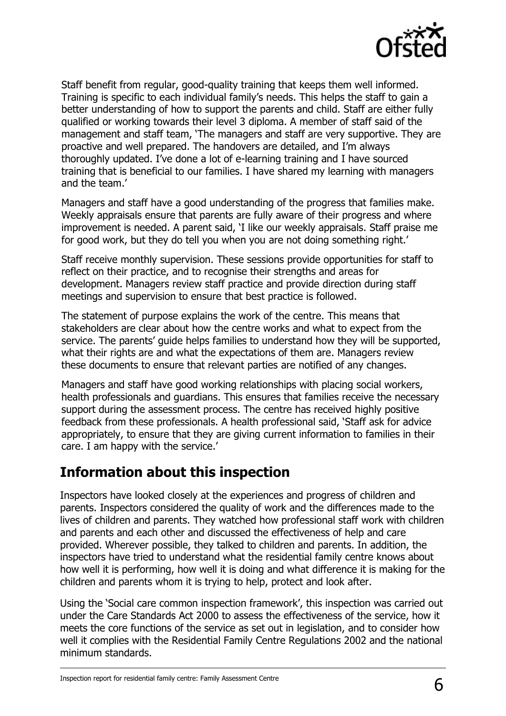

Staff benefit from regular, good-quality training that keeps them well informed. Training is specific to each individual family's needs. This helps the staff to gain a better understanding of how to support the parents and child. Staff are either fully qualified or working towards their level 3 diploma. A member of staff said of the management and staff team, 'The managers and staff are very supportive. They are proactive and well prepared. The handovers are detailed, and I'm always thoroughly updated. I've done a lot of e-learning training and I have sourced training that is beneficial to our families. I have shared my learning with managers and the team.'

Managers and staff have a good understanding of the progress that families make. Weekly appraisals ensure that parents are fully aware of their progress and where improvement is needed. A parent said, 'I like our weekly appraisals. Staff praise me for good work, but they do tell you when you are not doing something right.'

Staff receive monthly supervision. These sessions provide opportunities for staff to reflect on their practice, and to recognise their strengths and areas for development. Managers review staff practice and provide direction during staff meetings and supervision to ensure that best practice is followed.

The statement of purpose explains the work of the centre. This means that stakeholders are clear about how the centre works and what to expect from the service. The parents' guide helps families to understand how they will be supported, what their rights are and what the expectations of them are. Managers review these documents to ensure that relevant parties are notified of any changes.

Managers and staff have good working relationships with placing social workers, health professionals and guardians. This ensures that families receive the necessary support during the assessment process. The centre has received highly positive feedback from these professionals. A health professional said, 'Staff ask for advice appropriately, to ensure that they are giving current information to families in their care. I am happy with the service.'

## **Information about this inspection**

Inspectors have looked closely at the experiences and progress of children and parents. Inspectors considered the quality of work and the differences made to the lives of children and parents. They watched how professional staff work with children and parents and each other and discussed the effectiveness of help and care provided. Wherever possible, they talked to children and parents. In addition, the inspectors have tried to understand what the residential family centre knows about how well it is performing, how well it is doing and what difference it is making for the children and parents whom it is trying to help, protect and look after.

Using the 'Social care common inspection framework', this inspection was carried out under the Care Standards Act 2000 to assess the effectiveness of the service, how it meets the core functions of the service as set out in legislation, and to consider how well it complies with the Residential Family Centre Regulations 2002 and the national minimum standards.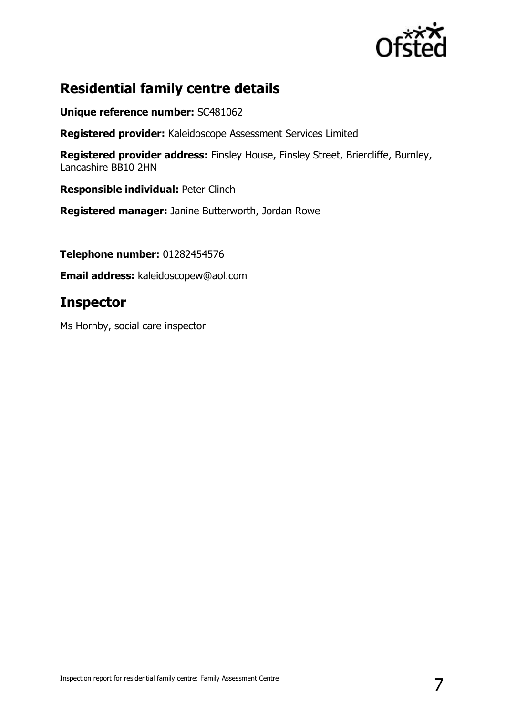

## **Residential family centre details**

**Unique reference number:** SC481062

**Registered provider:** Kaleidoscope Assessment Services Limited

**Registered provider address:** Finsley House, Finsley Street, Briercliffe, Burnley, Lancashire BB10 2HN

**Responsible individual:** Peter Clinch

**Registered manager:** Janine Butterworth, Jordan Rowe

**Telephone number:** 01282454576

**Email address:** kaleidoscopew@aol.com

## **Inspector**

Ms Hornby, social care inspector